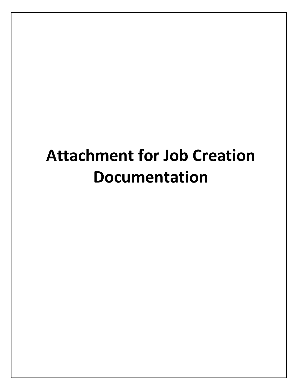## **Attachment for Job Creation Documentation**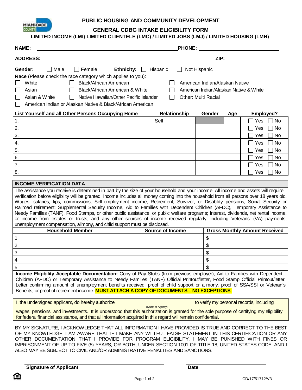

#### **GENERAL CDBG INTAKE ELIGIBILITY FORM**

#### **LIMITED INCOME (LMI) LIMITED CLIENTELE (LMC) / LIMITED JOBS (LMJ) / LIMITED HOUSING (LMH)**

| <b>NAME:</b>                                                                                                                                                                                                                                                                                                                                                                                                                                                                                                                                                                                                                                                                                                                                                                                                                                                                                |                                                                   | PHONE: <u>___________________</u>                                                                             |                                      |
|---------------------------------------------------------------------------------------------------------------------------------------------------------------------------------------------------------------------------------------------------------------------------------------------------------------------------------------------------------------------------------------------------------------------------------------------------------------------------------------------------------------------------------------------------------------------------------------------------------------------------------------------------------------------------------------------------------------------------------------------------------------------------------------------------------------------------------------------------------------------------------------------|-------------------------------------------------------------------|---------------------------------------------------------------------------------------------------------------|--------------------------------------|
| <b>ADDRESS:</b>                                                                                                                                                                                                                                                                                                                                                                                                                                                                                                                                                                                                                                                                                                                                                                                                                                                                             |                                                                   | ZIP: and the state of the state of the state of the state of the state of the state of the state of the state |                                      |
| $\Box$ Female<br>Gender:<br>$\Box$ Male<br><b>Ethnicity:</b><br>Race (Please check the race category which applies to you):<br>White<br>Black/African American<br>Black/African American & White<br>Asian<br>Asian & White<br>Native Hawaiian/Other Pacific Islander<br>American Indian or Alaskan Native & Black/African American                                                                                                                                                                                                                                                                                                                                                                                                                                                                                                                                                          | Hispanic<br>Not Hispanic<br>$\perp$<br><b>Other: Multi Racial</b> | American Indian/Alaskan Native<br>American Indian/Alaskan Native & White                                      |                                      |
| List Yourself and all Other Persons Occupying Home                                                                                                                                                                                                                                                                                                                                                                                                                                                                                                                                                                                                                                                                                                                                                                                                                                          | Relationship                                                      | Gender<br>Age                                                                                                 | Employed?                            |
| 1.                                                                                                                                                                                                                                                                                                                                                                                                                                                                                                                                                                                                                                                                                                                                                                                                                                                                                          | Self                                                              |                                                                                                               | Yes<br>No.                           |
| 2.                                                                                                                                                                                                                                                                                                                                                                                                                                                                                                                                                                                                                                                                                                                                                                                                                                                                                          |                                                                   |                                                                                                               | Yes<br>No                            |
| 3.                                                                                                                                                                                                                                                                                                                                                                                                                                                                                                                                                                                                                                                                                                                                                                                                                                                                                          |                                                                   |                                                                                                               | No<br>Yes                            |
| 4.                                                                                                                                                                                                                                                                                                                                                                                                                                                                                                                                                                                                                                                                                                                                                                                                                                                                                          |                                                                   |                                                                                                               | Yes<br>No                            |
| 5.                                                                                                                                                                                                                                                                                                                                                                                                                                                                                                                                                                                                                                                                                                                                                                                                                                                                                          |                                                                   |                                                                                                               | No<br>Yes                            |
| 6.                                                                                                                                                                                                                                                                                                                                                                                                                                                                                                                                                                                                                                                                                                                                                                                                                                                                                          |                                                                   |                                                                                                               | No<br>Yes                            |
| $\overline{7}$ .                                                                                                                                                                                                                                                                                                                                                                                                                                                                                                                                                                                                                                                                                                                                                                                                                                                                            |                                                                   |                                                                                                               | Yes<br>No                            |
| 8.                                                                                                                                                                                                                                                                                                                                                                                                                                                                                                                                                                                                                                                                                                                                                                                                                                                                                          |                                                                   |                                                                                                               | Yes<br>No.                           |
| <b>INCOME VERIFICATION DATA</b>                                                                                                                                                                                                                                                                                                                                                                                                                                                                                                                                                                                                                                                                                                                                                                                                                                                             |                                                                   |                                                                                                               |                                      |
| The assistance you receive is determined in part by the size of your household and your income. All income and assets will require<br>verification before eligibility will be granted. Income includes all money coming into the household from all persons over 18 years old.<br>Wages, salaries, tips, commissions; Self-employment income; Retirement, Survivor, or Disability pensions; Social Security or<br>Railroad retirement; Supplemental Security Income, Aid to Families with Dependent Children (AFDC), Temporary Assistance to<br>Needy Families (TANF), Food Stamps, or other public assistance, or public welfare programs; Interest, dividends, net rental income,<br>or income from estates or trusts; and any other sources of income received regularly, including Veterans' (VA) payments,<br>unemployment compensation, alimony, and child support must be disclosed. |                                                                   |                                                                                                               |                                      |
| <b>Household Member</b>                                                                                                                                                                                                                                                                                                                                                                                                                                                                                                                                                                                                                                                                                                                                                                                                                                                                     | <b>Source of Income</b>                                           |                                                                                                               | <b>Gross Monthly Amount Received</b> |
| 1.                                                                                                                                                                                                                                                                                                                                                                                                                                                                                                                                                                                                                                                                                                                                                                                                                                                                                          |                                                                   | \$                                                                                                            |                                      |
| 2.                                                                                                                                                                                                                                                                                                                                                                                                                                                                                                                                                                                                                                                                                                                                                                                                                                                                                          |                                                                   | \$                                                                                                            |                                      |
| 3.                                                                                                                                                                                                                                                                                                                                                                                                                                                                                                                                                                                                                                                                                                                                                                                                                                                                                          |                                                                   | \$                                                                                                            |                                      |
| 4.                                                                                                                                                                                                                                                                                                                                                                                                                                                                                                                                                                                                                                                                                                                                                                                                                                                                                          |                                                                   | \$                                                                                                            |                                      |
| 5.                                                                                                                                                                                                                                                                                                                                                                                                                                                                                                                                                                                                                                                                                                                                                                                                                                                                                          |                                                                   | \$                                                                                                            |                                      |
| Income Fligibility Acceptable Documentation: Copy of Pay Stubs (from previous employer) Aid to Families with Dependent                                                                                                                                                                                                                                                                                                                                                                                                                                                                                                                                                                                                                                                                                                                                                                      |                                                                   |                                                                                                               |                                      |

**Income Eligibility Acceptable Documentation:** Copy of Pay Stubs (from previous employer), Aid to Families with Dependent Children (AFDC) or Temporary Assistance to Needy Families (TANF) Official Printout/letter, Food Stamp Official Printout/letter, Letter confirming amount of unemployment benefits received, proof of child support or alimony, proof of SSA/SSI or Veteran's Benefits, or proof of retirement income. **MUST ATTACH A COPY OF DOCUMENTS – NO EXCEPTIONS**.

| I, the undersigned applicant, do hereby authorize                                                                                       | to verify my personal records, including |
|-----------------------------------------------------------------------------------------------------------------------------------------|------------------------------------------|
| (Name of Agency)                                                                                                                        |                                          |
| wages, pensions, and investments. It is understood that this authorization is granted for the sole purpose of certifying my eligibility |                                          |
| for federal financial assistance, and that all information acquired in this regard will remain confidential.                            |                                          |

BY MY SIGNATURE, I ACKNOWLEDGE THAT ALL INFORMATION I HAVE PROVIDED IS TRUE AND CORRECT TO THE BEST OF MY KNOWLEDGE. I AM AWARE THAT IF I MAKE ANY WILLFUL FALSE STATEMENT IN THIS CERTIFICATION OR ANY OTHER DOCUMENTATION THAT I PROVIDE FOR PROGRAM ELIGIBILITY, I MAY BE PUNISHED WITH FINES OR IMPRISONMENT OF UP TO FIVE (5) YEARS, OR BOTH, UNDER SECTION 1001 OF TITLE 18, UNITED STATES CODE, AND I ALSO MAY BE SUBJECT TO CIVIL AND/OR ADMINISTRATIVE PENALTIES AND SANCTIONS.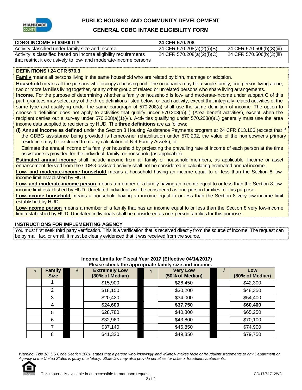

#### **GENERAL CDBG INTAKE ELIGIBILITY FORM**

| <b>CDBG INCOME ELIGIBILITY</b>                                   | 24 CFR 570.208                |                             |
|------------------------------------------------------------------|-------------------------------|-----------------------------|
| Activity classified under family size and income                 | 24 CFR 570.208(a)(2)(i)(B)    | $24$ CFR 570.506(b)(3)(iii) |
| Activity is classified based on income eligibility requirements  | $124$ CFR 570.208(a)(2)(i)(C) | 24 CFR 570.506(b)(3)(iii)   |
| that restrict it exclusively to low- and moderate-income persons |                               |                             |

#### **DEFINITIONS / 24 CFR 570.3**

**Family** means all persons living in the same household who are related by birth, marriage or adoption.

**Household** means all the persons who occupy a housing unit. The occupants may be a single family, one person living alone, two or more families living together, or any other group of related or unrelated persons who share living arrangements.

**Income**. For the purpose of determining whether a family or household is low- and moderate-income under subpart C of this part, grantees may select any of the three definitions listed below for each activity, except that integrally related activities of the same type and qualifying under the same paragraph of 570.208(a) shall use the same definition of income. The option to choose a definition does not apply to activities that qualify under 570.208(a)(1) (Area benefit activities), except when the recipient carries out a survey under 570.208(a)(1)(vi). Activities qualifying under 570.208(a)(1) generally must use the area income data supplied to recipients by HUD. The **three definitions** are as follows:

**(i) Annual income as defined** under the Section 8 Housing Assistance Payments program at 24 CFR 813.106 (except that if the CDBG assistance being provided is homeowner rehabilitation under 570.202, the value of the homeowner's primary residence may be excluded from any calculation of Net Family Assets); or

Estimate the annual income of a family or household by projecting the prevailing rate of income of each person at the time assistance is provided for the individual, family, or household (as applicable).

**Estimated annual income** shall include income from all family or household members, as applicable. Income or asset enhancement derived from the CDBG-assisted activity shall not be considered in calculating estimated annual income.

**Low- and moderate-income household** means a household having an income equal to or less than the Section 8 lowincome limit established by HUD.

**Low- and moderate-income person** means a member of a family having an income equal to or less than the Section 8 lowincome limit established by HUD. Unrelated individuals will be considered as one-person families for this purpose.

**Low-income household** means a household having an income equal to or less than the Section 8 very low-income limit established by HUD.

**Low-income person** means a member of a family that has an income equal to or less than the Section 8 very low-income limit established by HUD. Unrelated individuals shall be considered as one-person families for this purpose.

#### **INSTRUCTIONS FOR IMPLEMENTING AGENCY**

You must first seek third party verification. This is a verification that is received directly from the source of income. The request can be by mail, fax, or email. It must be clearly evidenced that it was received from the source.

| <b>Family</b><br><b>Size</b> | <b>Extremely Low</b><br>(30% of Median) | <b>Very Low</b><br>(50% of Median) | Low<br>(80% of Median) |
|------------------------------|-----------------------------------------|------------------------------------|------------------------|
|                              | \$15,900                                | \$26,450                           | \$42,300               |
| 2                            | \$18,150                                | \$30,200                           | \$48,350               |
| 3                            | \$20,420                                | \$34,000                           | \$54,400               |
| 4                            | \$24,600                                | \$37,750                           | \$60,400               |
| 5                            | \$28,780                                | \$40,800                           | \$65,250               |
| 6                            | \$32,960                                | \$43,800                           | \$70,100               |
|                              | \$37,140                                | \$46,850                           | \$74,900               |
| 8                            | \$41,320                                | \$49,850                           | \$79,750               |

#### **Income Limits for Fiscal Year 2017 (Effective 04/14/2017) Please check the appropriate family size and income.**

Warning: Title 18, US Code Section 1001, states that a person who knowingly and willingly makes false or fraudulent statements to any Department or Agency of the United States is quilty of a felony. State law may also provide penalties for false or fraudulent statements.

2 of 2

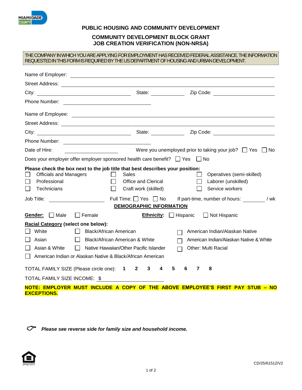

#### **COMMUNITY DEVELOPMENT BLOCK GRANT JOB CREATION VERIFICATION (NON-NRSA)**

#### THE COMPANY IN WHICH YOU ARE APPLYING FOR EMPLOYMENT HAS RECEIVED FEDERAL ASSISTANCE. THE INFORMATION REQUESTED IN THIS FORM IS REQUIRED BY THE US DEPARTMENT OF HOUSING AND URBAN DEVELOPMENT.

| Phone Number: <u>____________________________</u>                                                                                                                                                                                                                  |                                                                                                 |                                                                                                                      |
|--------------------------------------------------------------------------------------------------------------------------------------------------------------------------------------------------------------------------------------------------------------------|-------------------------------------------------------------------------------------------------|----------------------------------------------------------------------------------------------------------------------|
| Name of Employee: <u>example and the contract of the set of the set of the set of the set of the set of the set of the set of the set of the set of the set of the set of the set of the set of the set of the set of the set of</u>                               |                                                                                                 |                                                                                                                      |
|                                                                                                                                                                                                                                                                    |                                                                                                 |                                                                                                                      |
|                                                                                                                                                                                                                                                                    |                                                                                                 |                                                                                                                      |
| Phone Number:                                                                                                                                                                                                                                                      |                                                                                                 |                                                                                                                      |
| Date of Hire:                                                                                                                                                                                                                                                      |                                                                                                 | Were you unemployed prior to taking your job? $\Box$ Yes $\Box$ No                                                   |
| Does your employer offer employer sponsored health care benefit? $\Box$ Yes $\Box$ No                                                                                                                                                                              |                                                                                                 |                                                                                                                      |
| Please check the box next to the job title that best describes your position:<br><b>Officials and Managers</b><br>Sales<br>Professional<br>Technicians<br>Job Title:                                                                                               | Office and Clerical<br>Craft work (skilled)<br>Full Time: □ Yes □ No<br>DEMOGRAPHIC INFORMATION | Operatives (semi-skilled)<br>$\Box$<br>Laborer (unskilled)<br>Service workers<br>If part-time, number of hours: //wk |
| $\Box$ Female<br>Gender: Male                                                                                                                                                                                                                                      |                                                                                                 | <b>Ethnicity:</b> $\Box$ Hispanic<br>□ Not Hispanic                                                                  |
| <b>Racial Category (select one below):</b><br>White<br><b>Black/African American</b><br>Black/African American & White<br>Asian<br>$\Box$<br>Asian & White<br>Native Hawaiian/Other Pacific Islander<br>American Indian or Alaskan Native & Black/African American |                                                                                                 | American Indian/Alaskan Native<br>American Indian/Alaskan Native & White<br><b>Other: Multi Racial</b>               |
| TOTAL FAMILY SIZE (Please circle one): 1 2 3<br>TOTAL FAMILY SIZE INCOME: \$<br><b>EXCEPTIONS.</b>                                                                                                                                                                 | 4                                                                                               | 5<br>6<br>7<br>8<br>NOTE: EMPLOYER MUST INCLUDE A COPY OF THE ABOVE EMPLOYEE'S FIRST PAY STUB - NO                   |

*Please see reverse side for family size and household income.*

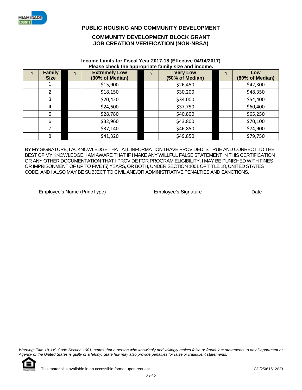

#### **COMMUNITY DEVELOPMENT BLOCK GRANT JOB CREATION VERIFICATION (NON-NRSA)**

#### **Income Limits for Fiscal Year 2017-18 (Effective 04/14/2017) Please check the appropriate family size and income.**

| <b>Family</b><br><b>Size</b> | . .<br><b>Extremely Low</b><br>(30% of Median) | <b>Very Low</b><br>(50% of Median) | Low<br>(80% of Median) |
|------------------------------|------------------------------------------------|------------------------------------|------------------------|
|                              | \$15,900                                       | \$26,450                           | \$42,300               |
| 2                            | \$18,150                                       | \$30,200                           | \$48,350               |
| 3                            | \$20,420                                       | \$34,000                           | \$54,400               |
| 4                            | \$24,600                                       | \$37,750                           | \$60,400               |
| 5                            | \$28,780                                       | \$40,800                           | \$65,250               |
| 6                            | \$32,960                                       | \$43,800                           | \$70,100               |
|                              | \$37,140                                       | \$46,850                           | \$74,900               |
| 8                            | \$41,320                                       | \$49,850                           | \$79,750               |

BY MY SIGNATURE, I ACKNOWLEDGE THAT ALL INFORMATION I HAVE PROVIDED IS TRUE AND CORRECT TO THE BEST OF MY KNOWLEDGE. I AM AWARE THAT IF I MAKE ANY WILLFUL FALSE STATEMENT IN THIS CERTIFICATION OR ANY OTHER DOCUMENTATION THAT I PROVIDE FOR PROGRAM ELIGIBILITY, I MAY BE PUNISHED WITH FINES OR IMPRISONMENT OF UP TO FIVE (5) YEARS, OR BOTH, UNDER SECTION 1001 OF TITLE 18, UNITED STATES CODE, AND I ALSO MAY BE SUBJECT TO CIVIL AND/OR ADMINISTRATIVE PENALTIES AND SANCTIONS.

Employee's Name (Print/Type) Employee's Signature Date

Warning: Title 18, US Code Section 1001, states that a person who knowingly and willingly makes false or fraudulent statements to any Department or *Agency of the United States is guilty of a felony. State law may also provide penalties for false or fraudulent statements.* 

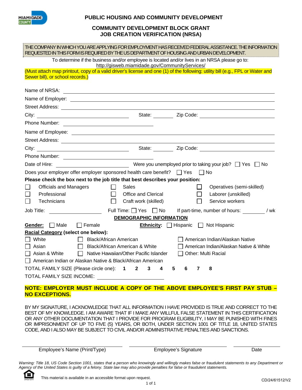

#### **COMMUNITY DEVELOPMENT BLOCK GRANT JOB CREATION VERIFICATION (NRSA)**

| REQUESTED IN THIS FORM IS REQUIRED BY THE US DEPARTMENT OF HOUSING AND URBAN DEVELOPMENT.                                                                                                                                            |                                                                                                                      |                                                                   |        |                                  | THE COMPANY IN WHICH YOU ARE APPLYING FOR EMPLOYMENT HAS RECEIVED FEDERAL ASSISTANCE. THE INFORMATION                                                                                                                               |
|--------------------------------------------------------------------------------------------------------------------------------------------------------------------------------------------------------------------------------------|----------------------------------------------------------------------------------------------------------------------|-------------------------------------------------------------------|--------|----------------------------------|-------------------------------------------------------------------------------------------------------------------------------------------------------------------------------------------------------------------------------------|
|                                                                                                                                                                                                                                      | To determine if the business and/or employee is located and/or lives in an NRSA please go to:                        | http://gisweb.miamidade.gov/CommunityServices/                    |        |                                  |                                                                                                                                                                                                                                     |
| Sewer bill), or school records.)                                                                                                                                                                                                     |                                                                                                                      |                                                                   |        |                                  | (Must attach map printout, copy of a valid driver's license and one (1) of the following: utility bill (e.g., FPL or Water and                                                                                                      |
| Name of NRSA:                                                                                                                                                                                                                        | <u> Alexandria de la contrada de la contrada de la contrada de la contrada de la contrada de la contrada de la c</u> |                                                                   |        |                                  |                                                                                                                                                                                                                                     |
|                                                                                                                                                                                                                                      |                                                                                                                      |                                                                   |        |                                  |                                                                                                                                                                                                                                     |
|                                                                                                                                                                                                                                      |                                                                                                                      |                                                                   |        |                                  |                                                                                                                                                                                                                                     |
|                                                                                                                                                                                                                                      |                                                                                                                      |                                                                   |        |                                  |                                                                                                                                                                                                                                     |
| Phone Number: <u>__________________________</u>                                                                                                                                                                                      |                                                                                                                      |                                                                   |        |                                  |                                                                                                                                                                                                                                     |
| Name of Employee: <u>example and the set of the set of the set of the set of the set of the set of the set of the set of the set of the set of the set of the set of the set of the set of the set of the set of the set of the </u> |                                                                                                                      |                                                                   |        |                                  |                                                                                                                                                                                                                                     |
|                                                                                                                                                                                                                                      |                                                                                                                      |                                                                   |        |                                  |                                                                                                                                                                                                                                     |
|                                                                                                                                                                                                                                      |                                                                                                                      |                                                                   |        |                                  | City: <u>City:</u> 2ip Code: 21 City: 2ip Code: 21 City: 21 Code: 21 Code: 21 Code: 21 Code: 21 Code: 21 Code: 21 Code: 21 Code: 21 Code: 21 Code: 21 Code: 21 Code: 21 Code: 21 Code: 21 Code: 21 Code: 21 Code: 21 Code: 21 Code: |
| Phone Number: <u>________________________________</u>                                                                                                                                                                                |                                                                                                                      |                                                                   |        |                                  |                                                                                                                                                                                                                                     |
| Date of Hire:                                                                                                                                                                                                                        |                                                                                                                      |                                                                   |        |                                  | No Were you unemployed prior to taking your job? □ Yes □ No                                                                                                                                                                         |
| Does your employer offer employer sponsored health care benefit? $\Box$ Yes                                                                                                                                                          |                                                                                                                      |                                                                   |        | $\Box$ No                        |                                                                                                                                                                                                                                     |
| Please check the box next to the job title that best describes your position:                                                                                                                                                        |                                                                                                                      |                                                                   |        |                                  |                                                                                                                                                                                                                                     |
| <b>Officials and Managers</b><br>Professional                                                                                                                                                                                        | $\perp$<br>$\perp$                                                                                                   | Sales<br>Office and Clerical                                      |        | $\mathcal{L}_{\mathcal{A}}$<br>П | Operatives (semi-skilled)<br>Laborer (unskilled)                                                                                                                                                                                    |
| <b>Technicians</b>                                                                                                                                                                                                                   | П                                                                                                                    | Craft work (skilled)                                              |        | П                                | Service workers                                                                                                                                                                                                                     |
|                                                                                                                                                                                                                                      |                                                                                                                      |                                                                   |        |                                  |                                                                                                                                                                                                                                     |
| Job Title:                                                                                                                                                                                                                           |                                                                                                                      | Full Time: $\Box$ Yes $\Box$ No<br><b>DEMOGRAPHIC INFORMATION</b> |        |                                  | If part-time, number of hours: / wk                                                                                                                                                                                                 |
| $\Box$ Male<br>Gender:                                                                                                                                                                                                               | $\Box$ Female                                                                                                        |                                                                   |        |                                  | <b>Ethnicity:</b> $\Box$ Hispanic $\Box$ Not Hispanic                                                                                                                                                                               |
| Racial Category (select one below):                                                                                                                                                                                                  |                                                                                                                      |                                                                   |        |                                  |                                                                                                                                                                                                                                     |
| White                                                                                                                                                                                                                                | <b>Black/African American</b><br>$\Box$                                                                              |                                                                   |        |                                  | □ American Indian/Alaskan Native                                                                                                                                                                                                    |
| Asian                                                                                                                                                                                                                                | □ Black/African American & White                                                                                     |                                                                   |        |                                  | American Indian/Alaskan Native & White                                                                                                                                                                                              |
| Asian & White                                                                                                                                                                                                                        | $\Box$ Native Hawaiian/Other Pacific Islander                                                                        |                                                                   |        | $\Box$ Other: Multi Racial       |                                                                                                                                                                                                                                     |
| American Indian or Alaskan Native & Black/African American                                                                                                                                                                           |                                                                                                                      |                                                                   |        |                                  |                                                                                                                                                                                                                                     |
| TOTAL FAMILY SIZE (Please circle one): 1 2 3<br><b>TOTAL FAMILY SIZE INCOME:</b>                                                                                                                                                     |                                                                                                                      |                                                                   | 5<br>4 | 6<br>7                           | 8                                                                                                                                                                                                                                   |
|                                                                                                                                                                                                                                      |                                                                                                                      |                                                                   |        |                                  |                                                                                                                                                                                                                                     |

### **NOTE: EMPLOYER MUST INCLUDE A COPY OF THE ABOVE EMPLOYEE'S FIRST PAY STUB – NO EXCEPTIONS.**

BY MY SIGNATURE, I ACKNOWLEDGE THAT ALL INFORMATION I HAVE PROVIDED IS TRUE AND CORRECT TO THE BEST OF MY KNOWLEDGE. I AM AWARE THAT IF I MAKE ANY WILLFUL FALSE STATEMENT IN THIS CERTIFICATION OR ANY OTHER DOCUMENTATION THAT I PROVIDE FOR PROGRAM ELIGIBILITY, I MAY BE PUNISHED WITH FINES OR IMPRISONMENT OF UP TO FIVE (5) YEARS, OR BOTH, UNDER SECTION 1001 OF TITLE 18, UNITED STATES CODE, AND I ALSO MAY BE SUBJECT TO CIVIL AND/OR ADMINISTRATIVE PENALTIES AND SANCTIONS.

Employee's Name (Print/Type) Employee's Signature Date

Warning: Title 18, US Code Section 1001, states that a person who knowingly and willingly makes false or fraudulent statements to any Department or *Agency of the United States is guilty of a felony. State law may also provide penalties for false or fraudulent statements.* 

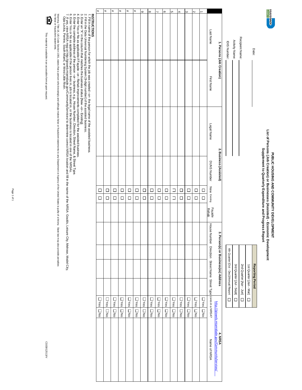# List of Persons (Job Creation) or Businesses (Assisted) - Economic Development<br>Supplement to Quarterly Expenditure and Progress Report **List of Persons (Job Creation) or Businesses (Assisted) - Economic Development Supplement to Quarterly Expenditure and Progress Report** PUBLIC HOUSING AND COMMUNITY DEVELOPMENT **PUBLIC HOUSING AND COMMUNITY DEVELOPMENT**

| 1. Persons (Job Creation)                    | IDIS Number:                            | Activity Name:          | Recipient Name:         |                         | Date:                   |  |
|----------------------------------------------|-----------------------------------------|-------------------------|-------------------------|-------------------------|-------------------------|--|
| 2. Business (Assisted)                       |                                         |                         |                         |                         |                         |  |
| بہ<br>Person(s) or Business(es) Address<br>Ē | 4th Quarter [Oct - Dec]/Annual Report [ | 3rd Quater [Jul - Sept] | 2nd Quarter [Apr - Jun] | 1st Quarter [Jan - Mar] | <b>Reporting Period</b> |  |

| 1. Persons (Job Creation)      |            | 2. Business (Assisted)                         | 3. Person(s) or Business(es) Address                            | http://gisweb.miamidade.gov/CommunityServices/<br>4. NRSA                      |
|--------------------------------|------------|------------------------------------------------|-----------------------------------------------------------------|--------------------------------------------------------------------------------|
| Last Name<br><b>First Name</b> | Legal Name | DUNS Number<br>New Existing<br>Façade<br>Rehab | House Number Direction Street Name Street Type Lives in a NRSA? | Name of NRSA                                                                   |
| →                              |            | $\Box$<br>$\Box$                               |                                                                 | <b>DYes</b><br>DNG                                                             |
| 2                              |            | $\Box$<br>$\Box$                               |                                                                 | $\Box$ Yes $\Box$ No                                                           |
| $\omega$                       |            | $\Box$<br>$\Box$                               |                                                                 | $\square$ Ness $\square$ Noo                                                   |
| $\overline{4}$                 |            | $\Box$<br>$\Box$                               |                                                                 | <b>DYes</b><br>$\begin{array}{c} \square \\ \square \\ \infty \end{array}$     |
| <u>ທ</u>                       |            | $\Box$<br>$\Box$                               |                                                                 | $\square$ Yes<br>$\overline{\Box}$                                             |
| $\circ$                        |            | $\Box$<br>$\Box$                               |                                                                 | <b>DYes</b><br>$\overline{\Box}$                                               |
| $\overline{\phantom{0}}$       |            | $\Box$<br>$\Box$                               |                                                                 | <b>DYes</b><br>$\overline{\square}$                                            |
| $\infty$                       |            | $\Box$<br>$\Box$                               |                                                                 | <b>L</b><br>Yes<br>$\begin{array}{c} \square \\ \square \\ \infty \end{array}$ |
| $\circ$                        |            | $\Box$<br>$\Box$                               |                                                                 | $\Box$ Yes $\Box$ No                                                           |
| #                              |            | $\Box$<br>$\Box$                               |                                                                 | <b>D</b> Yes<br>$\overline{a}$                                                 |
| #                              |            | $\Box$<br>$\Box$                               |                                                                 | <b>L</b><br>Yes<br>$\overline{a}$                                              |
| #                              |            | $\Box$<br>$\Box$                               |                                                                 | <b>L</b><br>Yes<br>N <sub>0</sub>                                              |
| #                              |            | $\Box$<br>$\Box$                               |                                                                 | <b>L</b><br>Yes<br>$\Box$ No                                                   |
| #                              |            | $\Box$<br>$\Box$                               |                                                                 | <b>DYes</b><br>$\frac{1}{2}$                                                   |
| #                              |            | $\Box$<br>$\Box$                               |                                                                 | ON O SO A                                                                      |
| <b>INSTRUCTIONS</b>            |            |                                                |                                                                 |                                                                                |

1. Fill in name of the person for which the job was created –or– the legal name of the assisted business.

2. Fill in the Data Universal Numbering System [9-digit number] of the assisted business.

3. Enter an "X" in the column that matches the business status [New –or– Existing].

4. Enter Yes or No as applicable if Façade –or– Rehab improvements completed for the assisted business.

5. Enter the complete address of the person –or– business, e.g., House Number, Direction, Street Name, & Street Type.

6. Enter Yes or No as applicable if the person lives in, job is located in, or the business is located in one of the NRSAs.

1. Fill in name of the person for which the job was created –or– the legal name of the assisted business.<br>2. Fill in the Data Universal Numbering System [9-digit number] of the assisted business.<br>4. Enter Yeas or No as ap 7. If yes, view NRSA map at http://gisweb.miamidade.gov/CommunityServices/ to determine correct NRSA location and fill in the name of the NRSA: Goulds, Leisure City, Melrose, Model City,

Opa-Locka, Perrine, South Miami, or West Little River.

Warning: Title 18, US Code Section 1, states that a person who holds that the figh makes take that of Agency and the United States of traudulent states that of Agency of the United States is guity of a felony. State have t

Warning: Tile 18, US Code Section 1001, states that a person who knowingly and whill all the the permet to Agency of the United States is guity of a felomy. State law may also provide penalites that a secure that a states. for false or fraudulent statements. Đ

This material is available in an accessible format upon request. This material is available in an accessible format upon request.

> CD/28/12513/V CD/28/12513/V